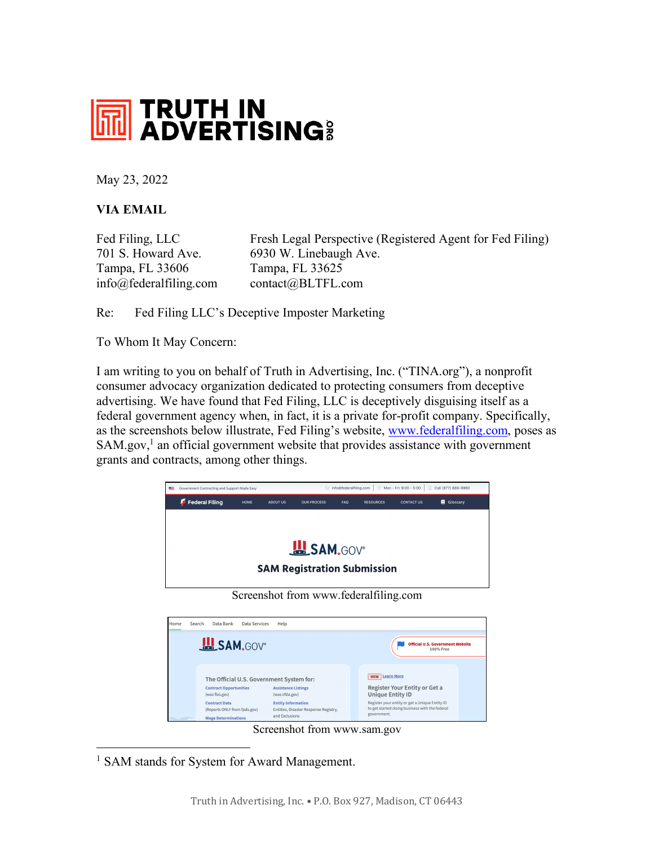

May 23, 2022

## **VIA EMAIL**

Tampa, FL 33606 Tampa, FL 33625

Fed Filing, LLC Fresh Legal Perspective (Registered Agent for Fed Filing) 701 S. Howard Ave. 6930 W. Linebaugh Ave. info@federalfiling.com contact@BLTFL.com

Re: Fed Filing LLC's Deceptive Imposter Marketing

To Whom It May Concern:

I am writing to you on behalf of Truth in Advertising, Inc. ("TINA.org"), a nonprofit consumer advocacy organization dedicated to protecting consumers from deceptive advertising. We have found that Fed Filing, LLC is deceptively disguising itself as a federal government agency when, in fact, it is a private for-profit company. Specifically, as the screenshots below illustrate, Fed Filing's website, www.federalfiling.com, poses as SAM.gov,<sup>1</sup> an official government website that provides assistance with government grants and contracts, among other things.



Screenshot from www.federalfiling.com

| Home | Data Bank<br>Search                                                                                                                  | Data Services | Help                                                                                                                                                                             |                                                                                                                                                                                                      |  |
|------|--------------------------------------------------------------------------------------------------------------------------------------|---------------|----------------------------------------------------------------------------------------------------------------------------------------------------------------------------------|------------------------------------------------------------------------------------------------------------------------------------------------------------------------------------------------------|--|
|      | <b>EL SAM.GOV</b>                                                                                                                    |               |                                                                                                                                                                                  | <b>Official U.S. Government Website</b><br>100% Free                                                                                                                                                 |  |
|      | <b>Contract Opportunities</b><br>(was fbo.gov)<br><b>Contract Data</b><br>(Reports ONLY from fpds.gov)<br><b>Wage Determinations</b> |               | The Official U.S. Government System for:<br><b>Assistance Listings</b><br>(was cfda.gov)<br><b>Entity Information</b><br>Entities, Disaster Response Registry,<br>and Exclusions | <b>NEW</b> Learn More<br>Register Your Entity or Get a<br><b>Unique Entity ID</b><br>Register your entity or get a Unique Entity ID<br>to get started doing business with the federal<br>government. |  |

Screenshot from www.sam.gov

<sup>1</sup> SAM stands for System for Award Management.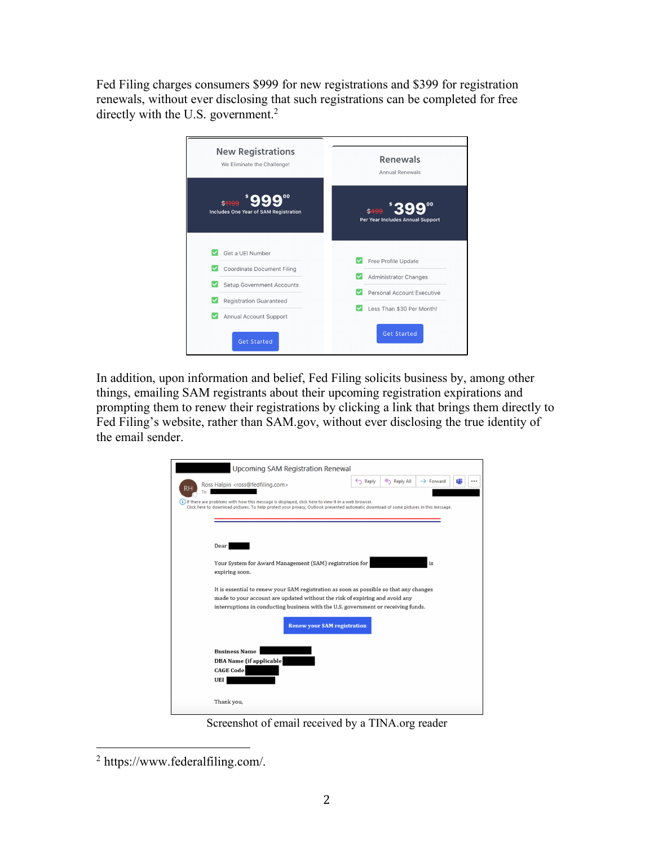Fed Filing charges consumers \$999 for new registrations and \$399 for registration renewals, without ever disclosing that such registrations can be completed for free directly with the U.S. government.<sup>2</sup>



In addition, upon information and belief, Fed Filing solicits business by, among other things, emailing SAM registrants about their upcoming registration expirations and prompting them to renew their registrations by clicking a link that brings them directly to Fed Filing's website, rather than SAM.gov, without ever disclosing the true identity of the email sender.



Screenshot of email received by a TINA.org reader

 <sup>2</sup> https://www.federalfiling.com/.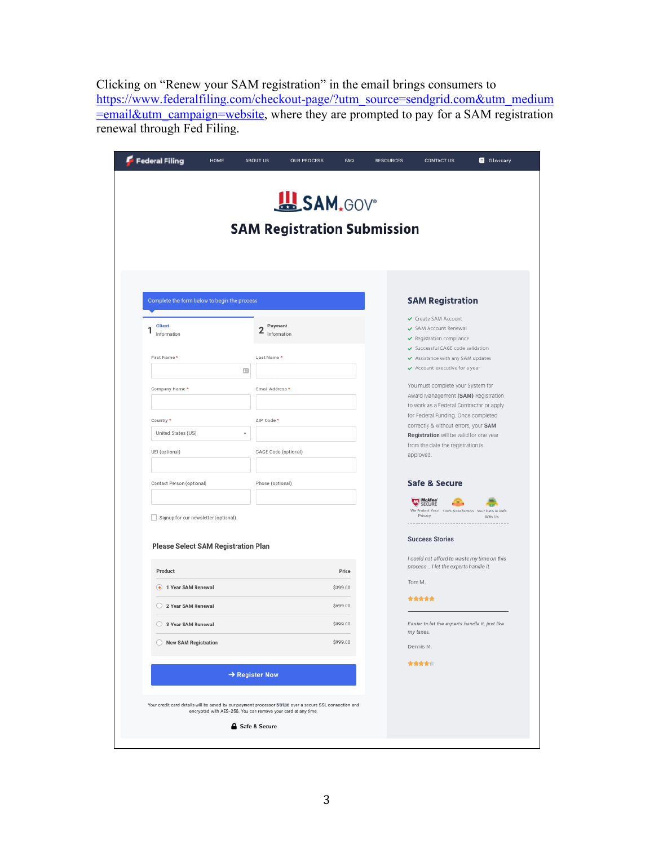Clicking on "Renew your SAM registration" in the email brings consumers to https://www.federalfiling.com/checkout-page/?utm\_source=sendgrid.com&utm\_medium  $=$ email&utm\_campaign=website, where they are prompted to pay for a SAM registration renewal through Fed Filing.

| <b>SAM Registration Submission</b>           |                                          |          |                                                                                                                                                                                                                                                                                                                 |  |  |  |  |  |
|----------------------------------------------|------------------------------------------|----------|-----------------------------------------------------------------------------------------------------------------------------------------------------------------------------------------------------------------------------------------------------------------------------------------------------------------|--|--|--|--|--|
| Complete the form below to begin the process |                                          |          | <b>SAM Registration</b>                                                                                                                                                                                                                                                                                         |  |  |  |  |  |
| <b>Client</b><br>1<br>Information            | Payment<br>$\overline{2}$<br>Information |          | Create SAM Account<br>SAM Account Renewal<br>Registration compliance<br>Successful CAGE code validation<br>Assistance with any SAM updates<br>$\checkmark$ Account executive for a year<br>You must complete your System for<br>Award Management (SAM) Registration<br>to work as a Federal Contractor or apply |  |  |  |  |  |
| First Name *                                 | Last Name *<br>œ                         |          |                                                                                                                                                                                                                                                                                                                 |  |  |  |  |  |
| Company Name *                               | Email Address *                          |          |                                                                                                                                                                                                                                                                                                                 |  |  |  |  |  |
| Country *                                    | ZIP Code *                               |          | for Federal Funding. Once completed                                                                                                                                                                                                                                                                             |  |  |  |  |  |
| United States (US)                           |                                          |          | correctly & without errors, your SAM<br>Registration will be valid for one year                                                                                                                                                                                                                                 |  |  |  |  |  |
| UEI (optional)                               | CAGE Code (optional)                     |          | from the date the registration is<br>approved.                                                                                                                                                                                                                                                                  |  |  |  |  |  |
| Contact Person (optional)                    | Phone (optional)                         |          | Safe & Secure                                                                                                                                                                                                                                                                                                   |  |  |  |  |  |
| Signup for our newsletter (optional)         |                                          |          | McAfee<br>We Protect Your 100% Satisfaction Your Data is Safe<br>Privacy<br>With Us<br>---------------                                                                                                                                                                                                          |  |  |  |  |  |
| <b>Please Select SAM Registration Plan</b>   |                                          |          | <b>Success Stories</b>                                                                                                                                                                                                                                                                                          |  |  |  |  |  |
| Product                                      |                                          | Price    | I could not afford to waste my time on this<br>process I let the experts handle it.                                                                                                                                                                                                                             |  |  |  |  |  |
| • 1 Year SAM Renewal                         |                                          | \$399.00 | Tom M.                                                                                                                                                                                                                                                                                                          |  |  |  |  |  |
| 2 Year SAM Renewal                           |                                          | \$699.00 | *****                                                                                                                                                                                                                                                                                                           |  |  |  |  |  |
| 3 Year SAM Renewal                           |                                          | \$899.00 | Easier to let the experts handle it, just like<br>my taxes.                                                                                                                                                                                                                                                     |  |  |  |  |  |
| New SAM Registration                         |                                          | \$999.00 | Dennis M.                                                                                                                                                                                                                                                                                                       |  |  |  |  |  |
|                                              | $\rightarrow$ Register Now               |          | 青青青青市                                                                                                                                                                                                                                                                                                           |  |  |  |  |  |